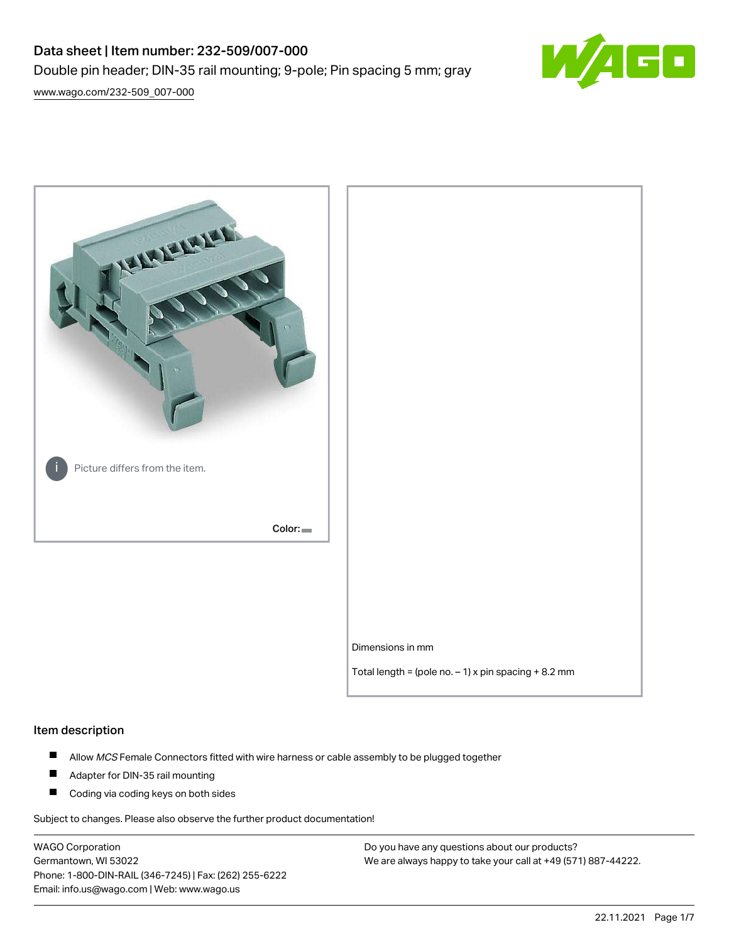# Data sheet | Item number: 232-509/007-000 Double pin header; DIN-35 rail mounting; 9-pole; Pin spacing 5 mm; gray



[www.wago.com/232-509\\_007-000](http://www.wago.com/232-509_007-000)



#### Item description

- $\blacksquare$ Allow MCS Female Connectors fitted with wire harness or cable assembly to be plugged together
- $\blacksquare$ Adapter for DIN-35 rail mounting
- $\blacksquare$ Coding via coding keys on both sides

Subject to changes. Please also observe the further product documentation!

WAGO Corporation Germantown, WI 53022 Phone: 1-800-DIN-RAIL (346-7245) | Fax: (262) 255-6222 Email: info.us@wago.com | Web: www.wago.us

Do you have any questions about our products? We are always happy to take your call at +49 (571) 887-44222.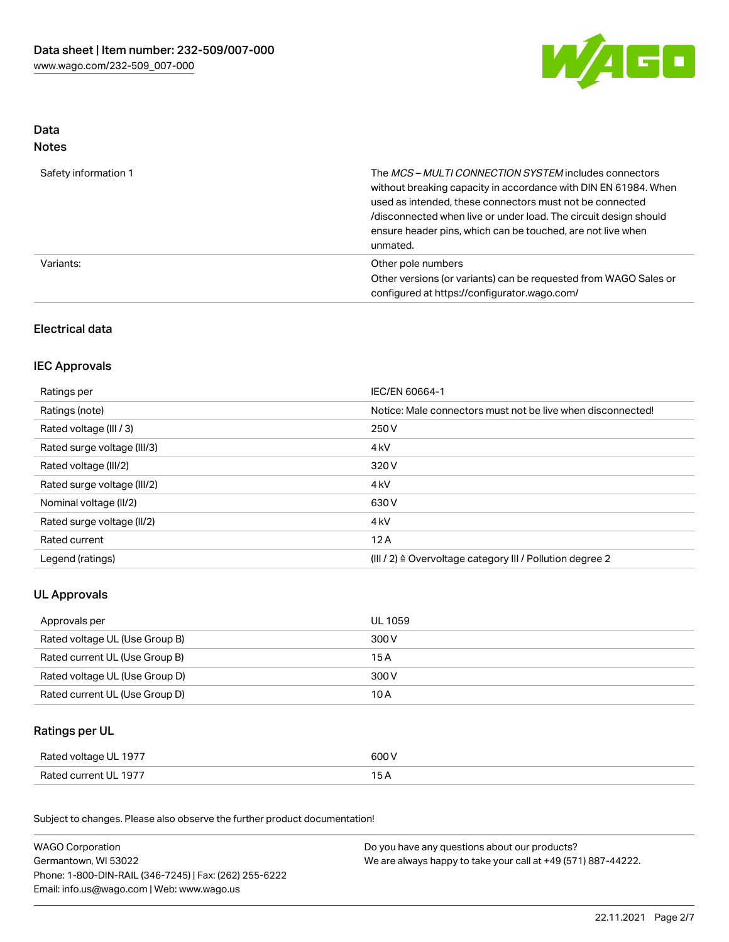

#### Data Notes

| Safety information 1 | The <i>MCS – MULTI CONNECTION SYSTEM</i> includes connectors<br>without breaking capacity in accordance with DIN EN 61984. When<br>used as intended, these connectors must not be connected<br>/disconnected when live or under load. The circuit design should<br>ensure header pins, which can be touched, are not live when<br>unmated. |
|----------------------|--------------------------------------------------------------------------------------------------------------------------------------------------------------------------------------------------------------------------------------------------------------------------------------------------------------------------------------------|
| Variants:            | Other pole numbers<br>Other versions (or variants) can be requested from WAGO Sales or<br>configured at https://configurator.wago.com/                                                                                                                                                                                                     |

# Electrical data

### IEC Approvals

| Ratings per                 | IEC/EN 60664-1                                                        |
|-----------------------------|-----------------------------------------------------------------------|
| Ratings (note)              | Notice: Male connectors must not be live when disconnected!           |
| Rated voltage (III / 3)     | 250 V                                                                 |
| Rated surge voltage (III/3) | 4 <sub>k</sub> V                                                      |
| Rated voltage (III/2)       | 320 V                                                                 |
| Rated surge voltage (III/2) | 4 <sub>k</sub> V                                                      |
| Nominal voltage (II/2)      | 630 V                                                                 |
| Rated surge voltage (II/2)  | 4 <sub>k</sub> V                                                      |
| Rated current               | 12A                                                                   |
| Legend (ratings)            | $(III / 2)$ $\triangle$ Overvoltage category III / Pollution degree 2 |

# UL Approvals

| Approvals per                  | UL 1059 |
|--------------------------------|---------|
| Rated voltage UL (Use Group B) | 300 V   |
| Rated current UL (Use Group B) | 15A     |
| Rated voltage UL (Use Group D) | 300 V   |
| Rated current UL (Use Group D) | 10 A    |

# Ratings per UL

| Rated voltage UL 1977 | 600 V |
|-----------------------|-------|
| Rated current UL 1977 |       |

Subject to changes. Please also observe the further product documentation!

| <b>WAGO Corporation</b>                                | Do you have any questions about our products?                 |
|--------------------------------------------------------|---------------------------------------------------------------|
| Germantown, WI 53022                                   | We are always happy to take your call at +49 (571) 887-44222. |
| Phone: 1-800-DIN-RAIL (346-7245)   Fax: (262) 255-6222 |                                                               |
| Email: info.us@wago.com   Web: www.wago.us             |                                                               |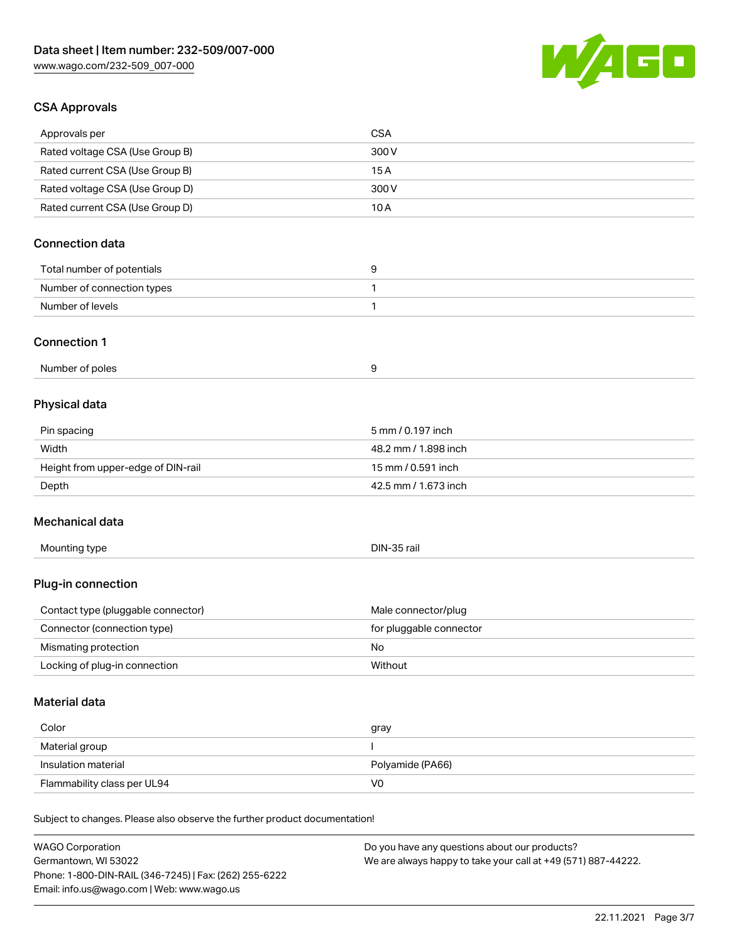

### CSA Approvals

Germantown, WI 53022

Phone: 1-800-DIN-RAIL (346-7245) | Fax: (262) 255-6222

Email: info.us@wago.com | Web: www.wago.us

| Approvals per                                                              | <b>CSA</b>                                    |
|----------------------------------------------------------------------------|-----------------------------------------------|
| Rated voltage CSA (Use Group B)                                            | 300 V                                         |
| Rated current CSA (Use Group B)                                            | 15A                                           |
| Rated voltage CSA (Use Group D)                                            | 300 V                                         |
| Rated current CSA (Use Group D)                                            | 10A                                           |
|                                                                            |                                               |
| <b>Connection data</b>                                                     |                                               |
| Total number of potentials                                                 | 9                                             |
| Number of connection types                                                 | 1                                             |
| Number of levels                                                           | $\mathbf{1}$                                  |
| <b>Connection 1</b>                                                        |                                               |
| Number of poles                                                            | 9                                             |
| Physical data                                                              |                                               |
| Pin spacing                                                                | 5 mm / 0.197 inch                             |
| Width                                                                      | 48.2 mm / 1.898 inch                          |
| Height from upper-edge of DIN-rail                                         | 15 mm / 0.591 inch                            |
| Depth                                                                      | 42.5 mm / 1.673 inch                          |
|                                                                            |                                               |
| Mechanical data                                                            |                                               |
| Mounting type                                                              | DIN-35 rail                                   |
| Plug-in connection                                                         |                                               |
| Contact type (pluggable connector)                                         | Male connector/plug                           |
| Connector (connection type)                                                | for pluggable connector                       |
| Mismating protection                                                       | No                                            |
| Locking of plug-in connection                                              | Without                                       |
| <b>Material data</b>                                                       |                                               |
|                                                                            |                                               |
| Color                                                                      | gray                                          |
| Material group                                                             |                                               |
| Insulation material                                                        | Polyamide (PA66)                              |
| Flammability class per UL94                                                | V <sub>0</sub>                                |
| Subject to changes. Please also observe the further product documentation! |                                               |
| <b>WAGO Corporation</b>                                                    | Do you have any questions about our products? |

We are always happy to take your call at +49 (571) 887-44222.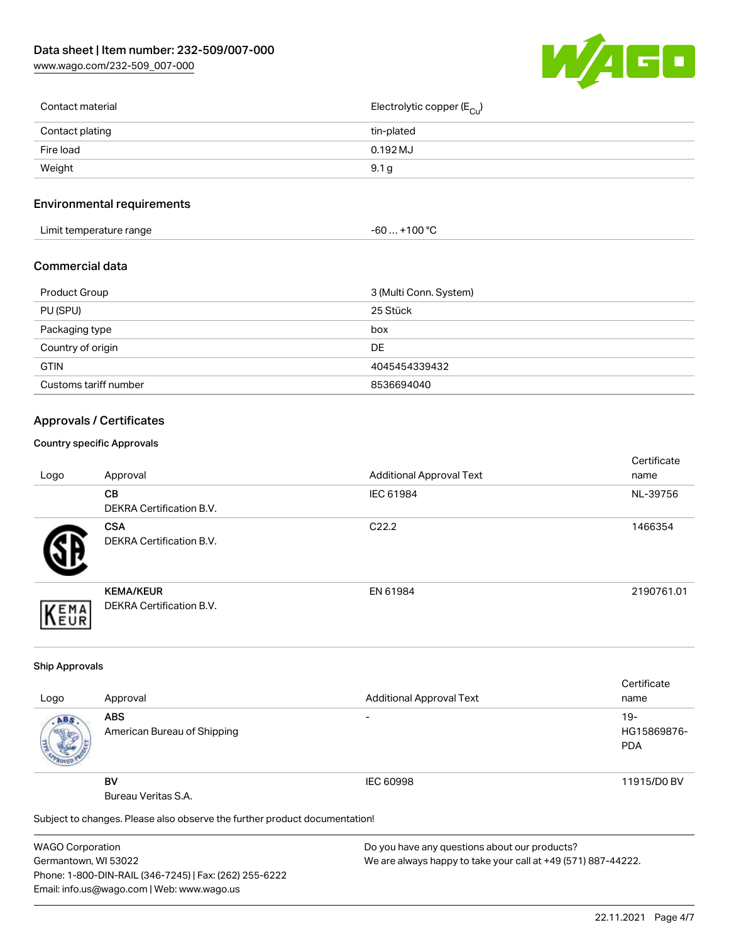[www.wago.com/232-509\\_007-000](http://www.wago.com/232-509_007-000)



| Contact material | Electrolytic copper (E <sub>Cu</sub> ) |
|------------------|----------------------------------------|
| Contact plating  | tin-plated                             |
| Fire load        | $0.192$ MJ                             |
| Weight           | 9.1 <sub>g</sub>                       |
|                  |                                        |

# Environmental requirements

| Limit temperature range | $+100 °C$<br>-60 <b>-</b> |  |
|-------------------------|---------------------------|--|
|-------------------------|---------------------------|--|

#### Commercial data

| Product Group         | 3 (Multi Conn. System) |
|-----------------------|------------------------|
| PU (SPU)              | 25 Stück               |
| Packaging type        | box                    |
| Country of origin     | DE                     |
| <b>GTIN</b>           | 4045454339432          |
| Customs tariff number | 8536694040             |

# Approvals / Certificates

#### Country specific Approvals

| Logo | Approval                                            | <b>Additional Approval Text</b> | Certificate<br>name |
|------|-----------------------------------------------------|---------------------------------|---------------------|
|      | CВ<br><b>DEKRA Certification B.V.</b>               | IEC 61984                       | NL-39756            |
|      | <b>CSA</b><br>DEKRA Certification B.V.              | C <sub>22.2</sub>               | 1466354             |
| EMA  | <b>KEMA/KEUR</b><br><b>DEKRA Certification B.V.</b> | EN 61984                        | 2190761.01          |

#### Ship Approvals

|      |                                                                            |                                 | Certificate |
|------|----------------------------------------------------------------------------|---------------------------------|-------------|
| Logo | Approval                                                                   | <b>Additional Approval Text</b> | name        |
| ABS. | <b>ABS</b>                                                                 | -                               | $19-$       |
|      | American Bureau of Shipping                                                |                                 | HG15869876- |
|      |                                                                            |                                 | <b>PDA</b>  |
|      |                                                                            |                                 |             |
|      | <b>BV</b>                                                                  | IEC 60998                       | 11915/D0 BV |
|      | Bureau Veritas S.A.                                                        |                                 |             |
|      | Subject to changes. Please also observe the further product documentation! |                                 |             |

WAGO Corporation Germantown, WI 53022 Phone: 1-800-DIN-RAIL (346-7245) | Fax: (262) 255-6222 Email: info.us@wago.com | Web: www.wago.us

Do you have any questions about our products? We are always happy to take your call at +49 (571) 887-44222.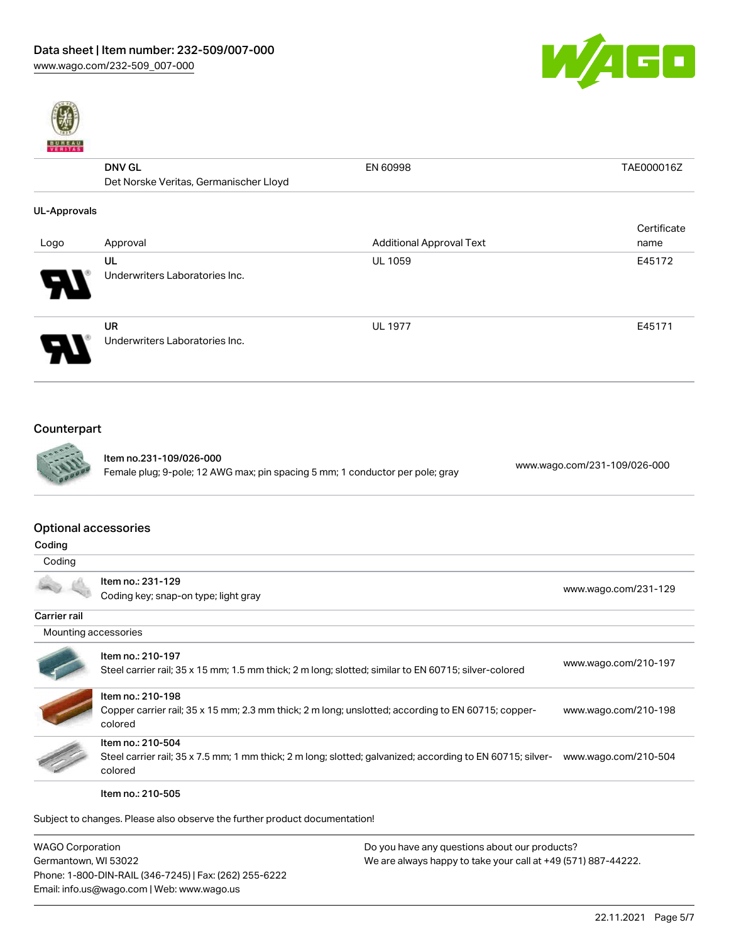



|                     | <b>DNV GL</b>                          | EN 60998                        | TAE000016Z  |
|---------------------|----------------------------------------|---------------------------------|-------------|
|                     | Det Norske Veritas, Germanischer Lloyd |                                 |             |
| <b>UL-Approvals</b> |                                        |                                 |             |
|                     |                                        |                                 | Certificate |
| Logo                | Approval                               | <b>Additional Approval Text</b> | name        |
|                     | UL                                     | <b>UL 1059</b>                  | E45172      |
| J                   | Underwriters Laboratories Inc.         |                                 |             |
|                     | <b>UR</b>                              | <b>UL 1977</b>                  | E45171      |
|                     | Underwriters Laboratories Inc.         |                                 |             |

# Counterpart



Item no.231-109/026-000 Female plug; 9-pole; 12 AWG max; pin spacing 5 mm; 1 conductor per pole; gray [www.wago.com/231-109/026-000](https://www.wago.com/231-109/026-000)

#### Optional accessories

| ı<br>٢.<br>× |
|--------------|
|--------------|

| Coding       |                                                           |                      |
|--------------|-----------------------------------------------------------|----------------------|
|              | Item no.: 231-129<br>Coding key; snap-on type; light gray | www.wago.com/231-129 |
| Carrier rail |                                                           |                      |
|              | Mounting accessories                                      |                      |
|              | Item no.: 210-197                                         | www.wago.com/210-197 |

| Steel carrier rail; 35 x 15 mm; 1.5 mm thick; 2 m long; slotted; similar to EN 60715; silver-colored                                       | www.wago.com/210-197 |
|--------------------------------------------------------------------------------------------------------------------------------------------|----------------------|
| Item no.: 210-198<br>Copper carrier rail; 35 x 15 mm; 2.3 mm thick; 2 m long; unslotted; according to EN 60715; copper-<br>colored         | www.wago.com/210-198 |
| Item no.: 210-504<br>Steel carrier rail; 35 x 7.5 mm; 1 mm thick; 2 m long; slotted; galvanized; according to EN 60715; silver-<br>colored | www.wago.com/210-504 |

Item no.: 210-505

Subject to changes. Please also observe the further product documentation!

| WAGO Corporation                                       | Do you have any questions about our products?                 |
|--------------------------------------------------------|---------------------------------------------------------------|
| Germantown, WI 53022                                   | We are always happy to take your call at +49 (571) 887-44222. |
| Phone: 1-800-DIN-RAIL (346-7245)   Fax: (262) 255-6222 |                                                               |
| Email: info.us@wago.com   Web: www.wago.us             |                                                               |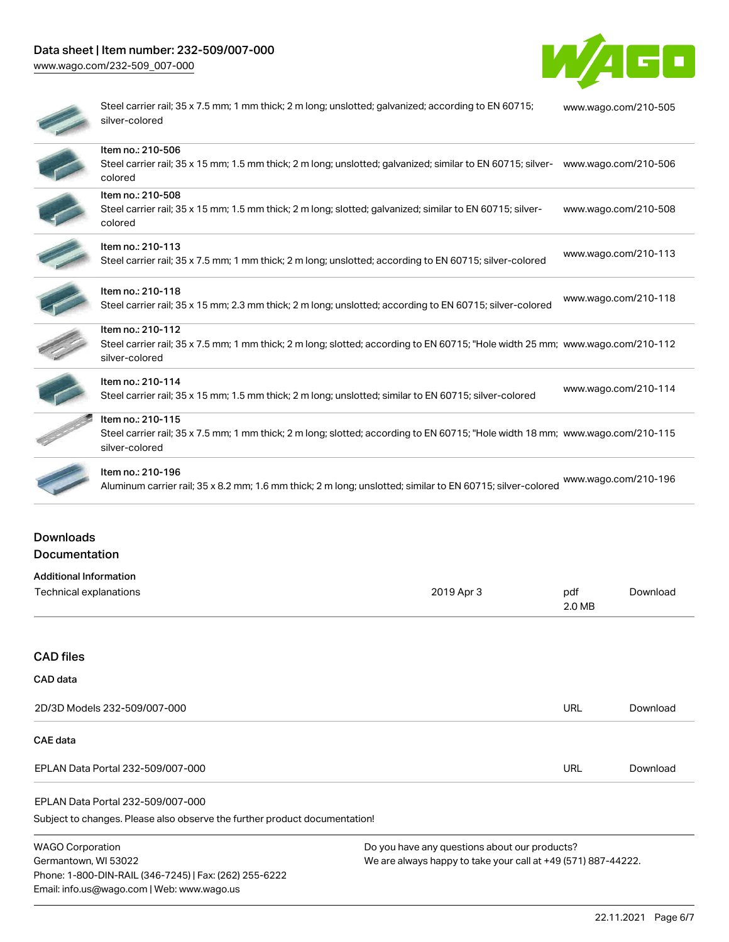# Data sheet | Item number: 232-509/007-000

[www.wago.com/232-509\\_007-000](http://www.wago.com/232-509_007-000)



| Steel carrier rail; 35 x 7.5 mm; 1 mm thick; 2 m long; unslotted; galvanized; according to EN 60715;<br>silver-colored                                                | www.wago.com/210-505 |
|-----------------------------------------------------------------------------------------------------------------------------------------------------------------------|----------------------|
| Item no.: 210-506<br>Steel carrier rail; 35 x 15 mm; 1.5 mm thick; 2 m long; unslotted; galvanized; similar to EN 60715; silver-<br>colored                           | www.wago.com/210-506 |
| Item no.: 210-508<br>Steel carrier rail; 35 x 15 mm; 1.5 mm thick; 2 m long; slotted; galvanized; similar to EN 60715; silver-<br>colored                             | www.wago.com/210-508 |
| Item no.: 210-113<br>Steel carrier rail; 35 x 7.5 mm; 1 mm thick; 2 m long; unslotted; according to EN 60715; silver-colored                                          | www.wago.com/210-113 |
| Item no.: 210-118<br>Steel carrier rail; 35 x 15 mm; 2.3 mm thick; 2 m long; unslotted; according to EN 60715; silver-colored                                         | www.wago.com/210-118 |
| Item no.: 210-112<br>Steel carrier rail; 35 x 7.5 mm; 1 mm thick; 2 m long; slotted; according to EN 60715; "Hole width 25 mm; www.wago.com/210-112<br>silver-colored |                      |
| Item no.: 210-114<br>Steel carrier rail; 35 x 15 mm; 1.5 mm thick; 2 m long; unslotted; similar to EN 60715; silver-colored                                           | www.wago.com/210-114 |
| Item no.: 210-115<br>Steel carrier rail; 35 x 7.5 mm; 1 mm thick; 2 m long; slotted; according to EN 60715; "Hole width 18 mm; www.wago.com/210-115<br>silver-colored |                      |
| Item no.: 210-196<br>Aluminum carrier rail; 35 x 8.2 mm; 1.6 mm thick; 2 m long; unslotted; similar to EN 60715; silver-colored                                       | www.wago.com/210-196 |

# Downloads Documentation

| <b>Additional Information</b>                                              |                                                               |               |          |
|----------------------------------------------------------------------------|---------------------------------------------------------------|---------------|----------|
| Technical explanations                                                     | 2019 Apr 3                                                    | pdf<br>2.0 MB | Download |
|                                                                            |                                                               |               |          |
| <b>CAD files</b>                                                           |                                                               |               |          |
| <b>CAD</b> data                                                            |                                                               |               |          |
| 2D/3D Models 232-509/007-000                                               |                                                               | <b>URL</b>    | Download |
| CAE data                                                                   |                                                               |               |          |
| EPLAN Data Portal 232-509/007-000                                          |                                                               | <b>URL</b>    | Download |
| EPLAN Data Portal 232-509/007-000                                          |                                                               |               |          |
| Subject to changes. Please also observe the further product documentation! |                                                               |               |          |
| <b>WAGO Corporation</b>                                                    | Do you have any questions about our products?                 |               |          |
| Germantown, WI 53022                                                       | We are always happy to take your call at +49 (571) 887-44222. |               |          |
| Phone: 1-800-DIN-RAIL (346-7245)   Fax: (262) 255-6222                     |                                                               |               |          |
| Email: info.us@wago.com   Web: www.wago.us                                 |                                                               |               |          |

22.11.2021 Page 6/7